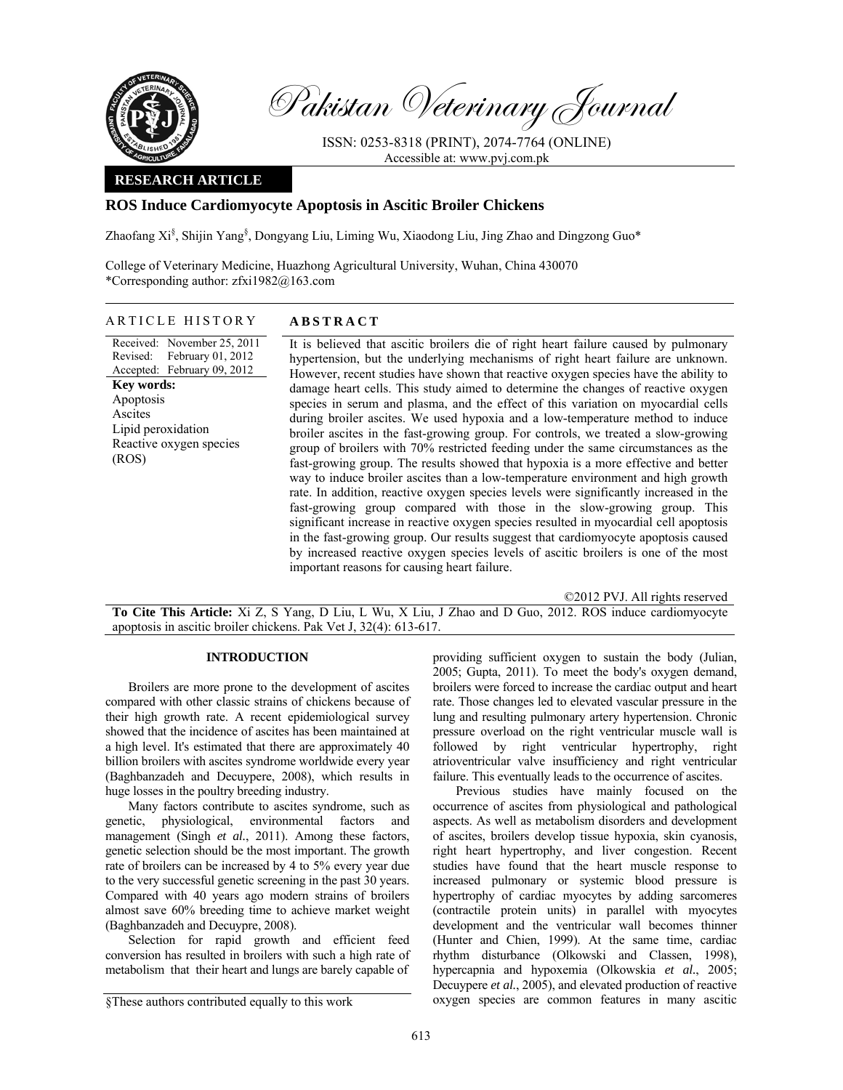

Pakistan Veterinary Journal

ISSN: 0253-8318 (PRINT), 2074-7764 (ONLINE) Accessible at: www.pvj.com.pk

## **RESEARCH ARTICLE**

# **ROS Induce Cardiomyocyte Apoptosis in Ascitic Broiler Chickens**

Zhaofang Xi<sup>§</sup>, Shijin Yang<sup>§</sup>, Dongyang Liu, Liming Wu, Xiaodong Liu, Jing Zhao and Dingzong Guo\*

College of Veterinary Medicine, Huazhong Agricultural University, Wuhan, China 430070 \*Corresponding author: zfxi1982@163.com

### ARTICLE HISTORY **ABSTRACT**

Received: November 25, 2011 Revised: Accepted: February 09, 2012 February 01, 2012 **Key words:**  Apoptosis Ascites Lipid peroxidation Reactive oxygen species (ROS)

It is believed that ascitic broilers die of right heart failure caused by pulmonary hypertension, but the underlying mechanisms of right heart failure are unknown. However, recent studies have shown that reactive oxygen species have the ability to damage heart cells. This study aimed to determine the changes of reactive oxygen species in serum and plasma, and the effect of this variation on myocardial cells during broiler ascites. We used hypoxia and a low-temperature method to induce broiler ascites in the fast-growing group. For controls, we treated a slow-growing group of broilers with 70% restricted feeding under the same circumstances as the fast-growing group. The results showed that hypoxia is a more effective and better way to induce broiler ascites than a low-temperature environment and high growth rate. In addition, reactive oxygen species levels were significantly increased in the fast-growing group compared with those in the slow-growing group. This significant increase in reactive oxygen species resulted in myocardial cell apoptosis in the fast-growing group. Our results suggest that cardiomyocyte apoptosis caused by increased reactive oxygen species levels of ascitic broilers is one of the most important reasons for causing heart failure.

©2012 PVJ. All rights reserved

**To Cite This Article:** Xi Z, S Yang, D Liu, L Wu, X Liu, J Zhao and D Guo, 2012. ROS induce cardiomyocyte apoptosis in ascitic broiler chickens. Pak Vet J, 32(4): 613-617.

## **INTRODUCTION**

Broilers are more prone to the development of ascites compared with other classic strains of chickens because of their high growth rate. A recent epidemiological survey showed that the incidence of ascites has been maintained at a high level. It's estimated that there are approximately 40 billion broilers with ascites syndrome worldwide every year (Baghbanzadeh and Decuypere, 2008), which results in huge losses in the poultry breeding industry.

Many factors contribute to ascites syndrome, such as genetic, physiological, environmental factors and management (Singh *et al.*, 2011). Among these factors, genetic selection should be the most important. The growth rate of broilers can be increased by 4 to 5% every year due to the very successful genetic screening in the past 30 years. Compared with 40 years ago modern strains of broilers almost save 60% breeding time to achieve market weight (Baghbanzadeh and Decuypre, 2008).

Selection for rapid growth and efficient feed conversion has resulted in broilers with such a high rate of metabolism that their heart and lungs are barely capable of

providing sufficient oxygen to sustain the body (Julian, 2005; Gupta, 2011). To meet the body's oxygen demand, broilers were forced to increase the cardiac output and heart rate. Those changes led to elevated vascular pressure in the lung and resulting pulmonary artery hypertension. Chronic pressure overload on the right ventricular muscle wall is followed by right ventricular hypertrophy, right atrioventricular valve insufficiency and right ventricular failure. This eventually leads to the occurrence of ascites.

Previous studies have mainly focused on the occurrence of ascites from physiological and pathological aspects. As well as metabolism disorders and development of ascites, broilers develop tissue hypoxia, skin cyanosis, right heart hypertrophy, and liver congestion. Recent studies have found that the heart muscle response to increased pulmonary or systemic blood pressure is hypertrophy of cardiac myocytes by adding sarcomeres (contractile protein units) in parallel with myocytes development and the ventricular wall becomes thinner (Hunter and Chien, 1999). At the same time, cardiac rhythm disturbance (Olkowski and Classen, 1998), hypercapnia and hypoxemia (Olkowskia *et al.*, 2005; Decuypere *et al.*, 2005), and elevated production of reactive oxygen species are common features in many ascitic

<sup>§</sup>These authors contributed equally to this work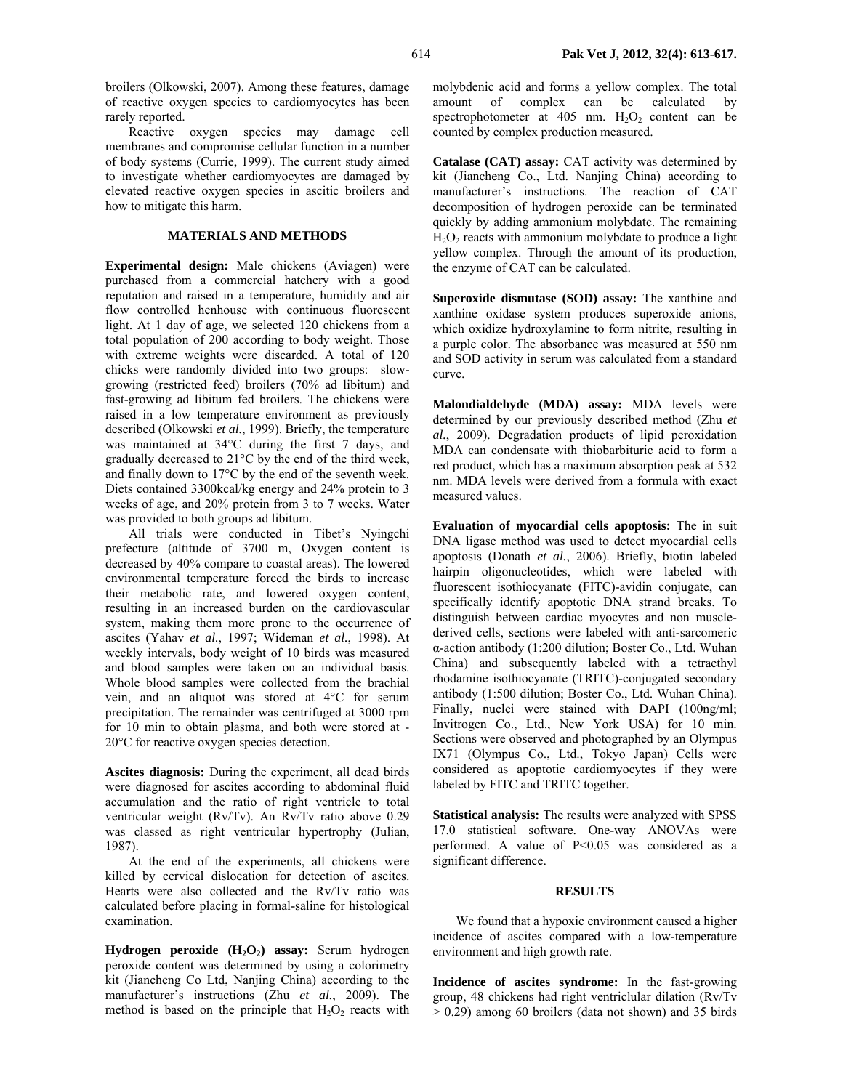broilers (Olkowski, 2007). Among these features, damage of reactive oxygen species to cardiomyocytes has been rarely reported.

Reactive oxygen species may damage cell membranes and compromise cellular function in a number of body systems (Currie, 1999). The current study aimed to investigate whether cardiomyocytes are damaged by elevated reactive oxygen species in ascitic broilers and how to mitigate this harm.

### **MATERIALS AND METHODS**

**Experimental design:** Male chickens (Aviagen) were purchased from a commercial hatchery with a good reputation and raised in a temperature, humidity and air flow controlled henhouse with continuous fluorescent light. At 1 day of age, we selected 120 chickens from a total population of 200 according to body weight. Those with extreme weights were discarded. A total of 120 chicks were randomly divided into two groups: slowgrowing (restricted feed) broilers (70% ad libitum) and fast-growing ad libitum fed broilers. The chickens were raised in a low temperature environment as previously described (Olkowski *et al.*, 1999). Briefly, the temperature was maintained at 34°C during the first 7 days, and gradually decreased to 21°C by the end of the third week, and finally down to 17°C by the end of the seventh week. Diets contained 3300kcal/kg energy and 24% protein to 3 weeks of age, and 20% protein from 3 to 7 weeks. Water was provided to both groups ad libitum.

All trials were conducted in Tibet's Nyingchi prefecture (altitude of 3700 m, Oxygen content is decreased by 40% compare to coastal areas). The lowered environmental temperature forced the birds to increase their metabolic rate, and lowered oxygen content, resulting in an increased burden on the cardiovascular system, making them more prone to the occurrence of ascites (Yahav *et al.*, 1997; Wideman *et al.*, 1998). At weekly intervals, body weight of 10 birds was measured and blood samples were taken on an individual basis. Whole blood samples were collected from the brachial vein, and an aliquot was stored at 4°C for serum precipitation. The remainder was centrifuged at 3000 rpm for 10 min to obtain plasma, and both were stored at - 20°C for reactive oxygen species detection.

**Ascites diagnosis:** During the experiment, all dead birds were diagnosed for ascites according to abdominal fluid accumulation and the ratio of right ventricle to total ventricular weight (Rv/Tv). An Rv/Tv ratio above 0.29 was classed as right ventricular hypertrophy (Julian, 1987).

At the end of the experiments, all chickens were killed by cervical dislocation for detection of ascites. Hearts were also collected and the Rv/Tv ratio was calculated before placing in formal-saline for histological examination.

Hydrogen peroxide (H<sub>2</sub>O<sub>2</sub>) assay: Serum hydrogen peroxide content was determined by using a colorimetry kit (Jiancheng Co Ltd, Nanjing China) according to the manufacturer's instructions (Zhu *et al.*, 2009). The method is based on the principle that  $H_2O_2$  reacts with molybdenic acid and forms a yellow complex. The total amount of complex can be calculated by spectrophotometer at  $405$  nm.  $H_2O_2$  content can be counted by complex production measured.

**Catalase (CAT) assay:** CAT activity was determined by kit (Jiancheng Co., Ltd. Nanjing China) according to manufacturer's instructions. The reaction of CAT decomposition of hydrogen peroxide can be terminated quickly by adding ammonium molybdate. The remaining  $H<sub>2</sub>O<sub>2</sub>$  reacts with ammonium molybdate to produce a light yellow complex. Through the amount of its production, the enzyme of CAT can be calculated.

**Superoxide dismutase (SOD) assay:** The xanthine and xanthine oxidase system produces superoxide anions, which oxidize hydroxylamine to form nitrite, resulting in a purple color. The absorbance was measured at 550 nm and SOD activity in serum was calculated from a standard curve.

**Malondialdehyde (MDA) assay:** MDA levels were determined by our previously described method (Zhu *et al.*, 2009). Degradation products of lipid peroxidation MDA can condensate with thiobarbituric acid to form a red product, which has a maximum absorption peak at 532 nm. MDA levels were derived from a formula with exact measured values.

**Evaluation of myocardial cells apoptosis:** The in suit DNA ligase method was used to detect myocardial cells apoptosis (Donath *et al.*, 2006). Briefly, biotin labeled hairpin oligonucleotides, which were labeled with fluorescent isothiocyanate (FITC)-avidin conjugate, can specifically identify apoptotic DNA strand breaks. To distinguish between cardiac myocytes and non musclederived cells, sections were labeled with anti-sarcomeric α-action antibody (1:200 dilution; Boster Co., Ltd. Wuhan China) and subsequently labeled with a tetraethyl rhodamine isothiocyanate (TRITC)-conjugated secondary antibody (1:500 dilution; Boster Co., Ltd. Wuhan China). Finally, nuclei were stained with DAPI (100ng/ml; Invitrogen Co., Ltd., New York USA) for 10 min. Sections were observed and photographed by an Olympus IX71 (Olympus Co., Ltd., Tokyo Japan) Cells were considered as apoptotic cardiomyocytes if they were labeled by FITC and TRITC together.

**Statistical analysis:** The results were analyzed with SPSS 17.0 statistical software. One-way ANOVAs were performed. A value of P<0.05 was considered as a significant difference.

#### **RESULTS**

We found that a hypoxic environment caused a higher incidence of ascites compared with a low-temperature environment and high growth rate.

**Incidence of ascites syndrome:** In the fast-growing group, 48 chickens had right ventriclular dilation (Rv/Tv > 0.29) among 60 broilers (data not shown) and 35 birds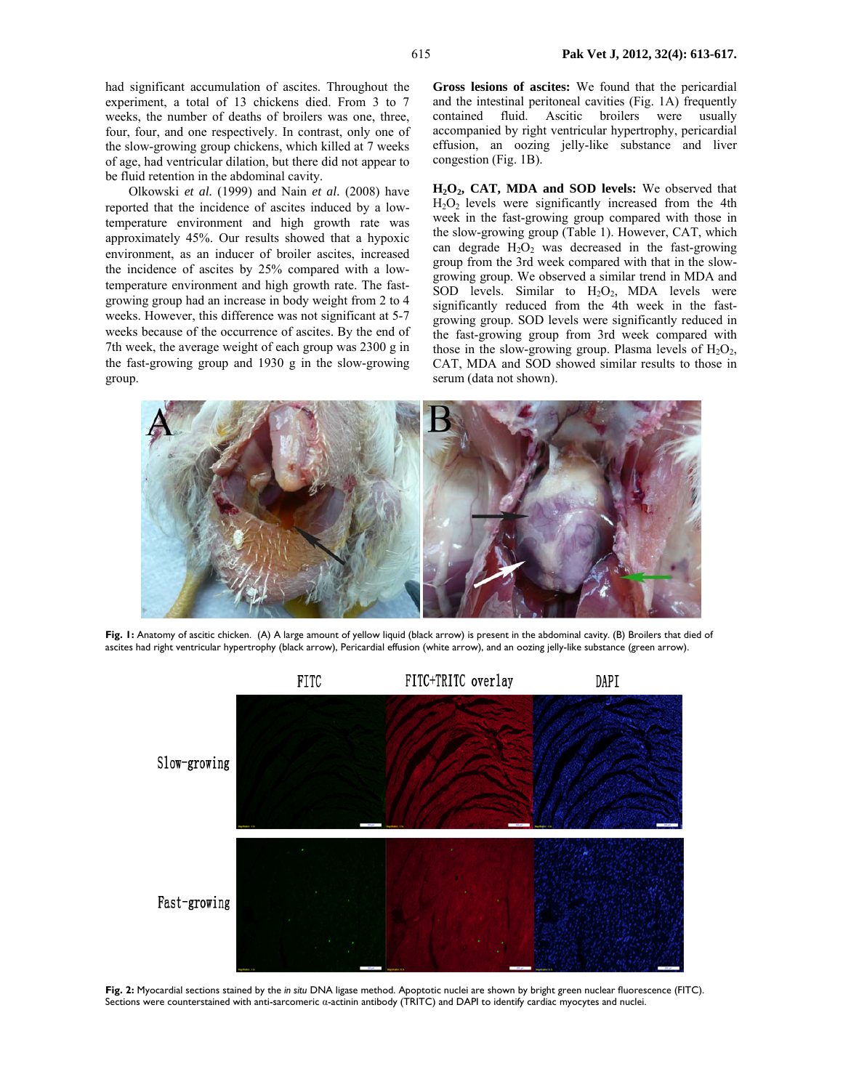had significant accumulation of ascites. Throughout the experiment, a total of 13 chickens died. From 3 to 7 weeks, the number of deaths of broilers was one, three, four, four, and one respectively. In contrast, only one of the slow-growing group chickens, which killed at 7 weeks of age, had ventricular dilation, but there did not appear to be fluid retention in the abdominal cavity.

Olkowski *et al.* (1999) and Nain *et al.* (2008) have reported that the incidence of ascites induced by a lowtemperature environment and high growth rate was approximately 45%. Our results showed that a hypoxic environment, as an inducer of broiler ascites, increased the incidence of ascites by 25% compared with a lowtemperature environment and high growth rate. The fastgrowing group had an increase in body weight from 2 to 4 weeks. However, this difference was not significant at 5-7 weeks because of the occurrence of ascites. By the end of 7th week, the average weight of each group was 2300 g in the fast-growing group and 1930 g in the slow-growing group.

**Gross lesions of ascites:** We found that the pericardial and the intestinal peritoneal cavities (Fig. 1A) frequently contained fluid. Ascitic broilers were usually accompanied by right ventricular hypertrophy, pericardial effusion, an oozing jelly-like substance and liver congestion (Fig. 1B).

**H2O2, CAT, MDA and SOD levels:** We observed that  $H<sub>2</sub>O<sub>2</sub>$  levels were significantly increased from the 4th week in the fast-growing group compared with those in the slow-growing group (Table 1). However, CAT, which can degrade  $H_2O_2$  was decreased in the fast-growing group from the 3rd week compared with that in the slowgrowing group. We observed a similar trend in MDA and SOD levels. Similar to  $H_2O_2$ , MDA levels were significantly reduced from the 4th week in the fastgrowing group. SOD levels were significantly reduced in the fast-growing group from 3rd week compared with those in the slow-growing group. Plasma levels of  $H_2O_2$ , CAT, MDA and SOD showed similar results to those in serum (data not shown).



Fig. I: Anatomy of ascitic chicken. (A) A large amount of yellow liquid (black arrow) is present in the abdominal cavity. (B) Broilers that died of ascites had right ventricular hypertrophy (black arrow), Pericardial effusion (white arrow), and an oozing jelly-like substance (green arrow).



**Fig. 2:** Myocardial sections stained by the *in situ* DNA ligase method. Apoptotic nuclei are shown by bright green nuclear fluorescence (FITC). Sections were counterstained with anti-sarcomeric α-actinin antibody (TRITC) and DAPI to identify cardiac myocytes and nuclei.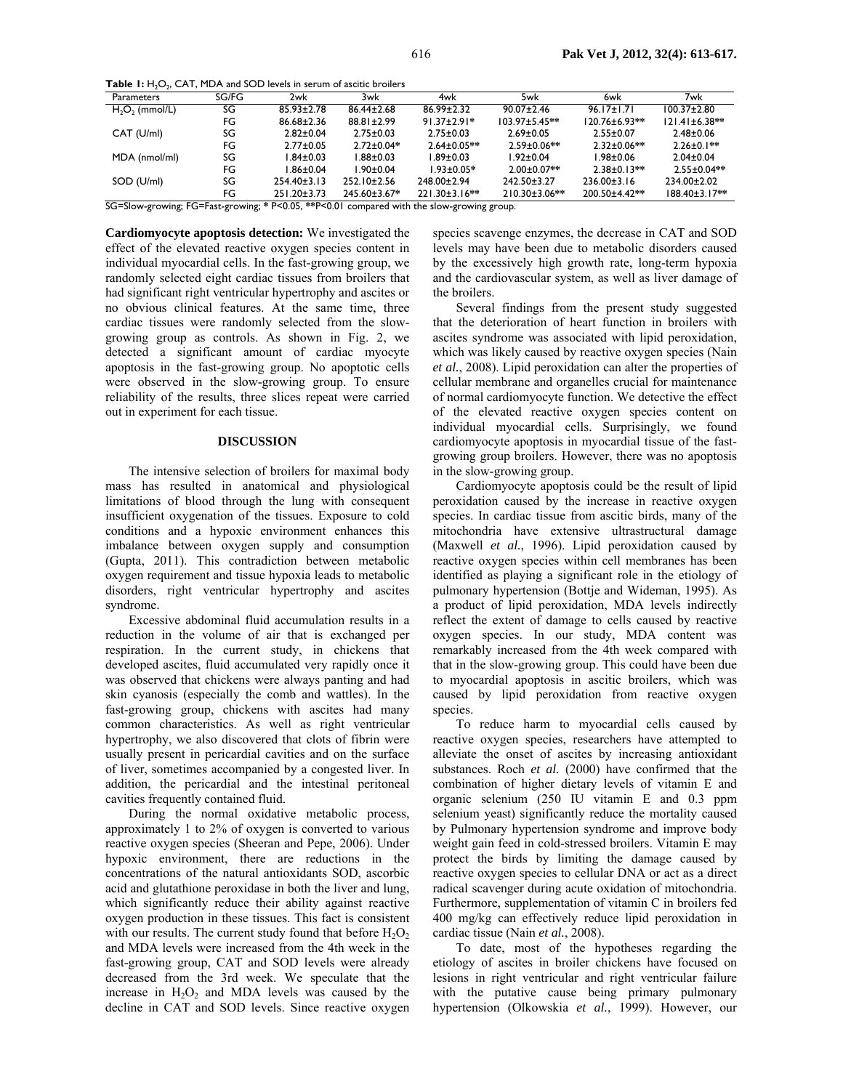**Table 1:** H<sub>2</sub>O<sub>2</sub>, CAT, MDA and SOD levels in serum of ascitic broilers

| Parameters        | SG/FG | 2wk               | 3wk                | 4wk                  | 5wk                  | 6wk                 | 7wk                  |
|-------------------|-------|-------------------|--------------------|----------------------|----------------------|---------------------|----------------------|
| $H_2O_2$ (mmol/L) | SG    | $85.93 \pm 2.78$  | $86.44 \pm 2.68$   | $86.99 \pm 2.32$     | $90.07 \pm 2.46$     | $96.17 \pm 1.71$    | $100.37 \pm 2.80$    |
|                   | FG    | $86.68 \pm 2.36$  | $88.81 \pm 2.99$   | $91.37 \pm 2.91*$    | $103.97 \pm 5.45$ ** | $120.76 \pm 6.93**$ | $121.41 \pm 6.38$ ** |
| CAT (U/ml)        | SG    | $2.82 \pm 0.04$   | $2.75 \pm 0.03$    | $2.75 \pm 0.03$      | $2.69 \pm 0.05$      | $2.55 \pm 0.07$     | $2.48 \pm 0.06$      |
|                   | FG    | $2.77 \pm 0.05$   | $2.72 \pm 0.04*$   | $2.64 \pm 0.05**$    | $2.59 \pm 0.06**$    | $2.32 \pm 0.06$ **  | $2.26 \pm 0.1***$    |
| MDA (nmol/ml)     | SG    | 84±0.03           | $1.88 \pm 0.03$    | $1.89 \pm 0.03$      | $1.92 \pm 0.04$      | 1.98±0.06           | $2.04 \pm 0.04$      |
|                   | FG    | 86±0.04           | $1.90 \pm 0.04$    | $1.93 \pm 0.05*$     | $2.00 \pm 0.07$ **   | $2.38 \pm 0.13**$   | $2.55 \pm 0.04**$    |
| SOD (U/ml)        | SG    | $254.40 \pm 3.13$ | $252.10 \pm 2.56$  | 248.00±2.94          | 242.50±3.27          | $236.00 \pm 3.16$   | 234.00±2.02          |
|                   | FG    | $251.20 \pm 3.73$ | $245.60 \pm 3.67*$ | $221.30 \pm 3.16$ ** | 210.30±3.06**        | 200.50±4.42**       | $188.40 \pm 3.17$ ** |

SG=Slow-growing; FG=Fast-growing; **\*** P<0.05, **\*\***P<0.01 compared with the slow-growing group.

**Cardiomyocyte apoptosis detection:** We investigated the effect of the elevated reactive oxygen species content in individual myocardial cells. In the fast-growing group, we randomly selected eight cardiac tissues from broilers that had significant right ventricular hypertrophy and ascites or no obvious clinical features. At the same time, three cardiac tissues were randomly selected from the slowgrowing group as controls. As shown in Fig. 2, we detected a significant amount of cardiac myocyte apoptosis in the fast-growing group. No apoptotic cells were observed in the slow-growing group. To ensure reliability of the results, three slices repeat were carried out in experiment for each tissue.

### **DISCUSSION**

The intensive selection of broilers for maximal body mass has resulted in anatomical and physiological limitations of blood through the lung with consequent insufficient oxygenation of the tissues. Exposure to cold conditions and a hypoxic environment enhances this imbalance between oxygen supply and consumption (Gupta, 2011). This contradiction between metabolic oxygen requirement and tissue hypoxia leads to metabolic disorders, right ventricular hypertrophy and ascites syndrome.

Excessive abdominal fluid accumulation results in a reduction in the volume of air that is exchanged per respiration. In the current study, in chickens that developed ascites, fluid accumulated very rapidly once it was observed that chickens were always panting and had skin cyanosis (especially the comb and wattles). In the fast-growing group, chickens with ascites had many common characteristics. As well as right ventricular hypertrophy, we also discovered that clots of fibrin were usually present in pericardial cavities and on the surface of liver, sometimes accompanied by a congested liver. In addition, the pericardial and the intestinal peritoneal cavities frequently contained fluid.

During the normal oxidative metabolic process, approximately 1 to 2% of oxygen is converted to various reactive oxygen species (Sheeran and Pepe, 2006). Under hypoxic environment, there are reductions in the concentrations of the natural antioxidants SOD, ascorbic acid and glutathione peroxidase in both the liver and lung, which significantly reduce their ability against reactive oxygen production in these tissues. This fact is consistent with our results. The current study found that before  $H_2O_2$ and MDA levels were increased from the 4th week in the fast-growing group, CAT and SOD levels were already decreased from the 3rd week. We speculate that the increase in  $H_2O_2$  and MDA levels was caused by the decline in CAT and SOD levels. Since reactive oxygen species scavenge enzymes, the decrease in CAT and SOD levels may have been due to metabolic disorders caused by the excessively high growth rate, long-term hypoxia and the cardiovascular system, as well as liver damage of the broilers.

Several findings from the present study suggested that the deterioration of heart function in broilers with ascites syndrome was associated with lipid peroxidation, which was likely caused by reactive oxygen species (Nain *et al.*, 2008). Lipid peroxidation can alter the properties of cellular membrane and organelles crucial for maintenance of normal cardiomyocyte function. We detective the effect of the elevated reactive oxygen species content on individual myocardial cells. Surprisingly, we found cardiomyocyte apoptosis in myocardial tissue of the fastgrowing group broilers. However, there was no apoptosis in the slow-growing group.

Cardiomyocyte apoptosis could be the result of lipid peroxidation caused by the increase in reactive oxygen species. In cardiac tissue from ascitic birds, many of the mitochondria have extensive ultrastructural damage (Maxwell *et al.*, 1996). Lipid peroxidation caused by reactive oxygen species within cell membranes has been identified as playing a significant role in the etiology of pulmonary hypertension (Bottje and Wideman, 1995). As a product of lipid peroxidation, MDA levels indirectly reflect the extent of damage to cells caused by reactive oxygen species. In our study, MDA content was remarkably increased from the 4th week compared with that in the slow-growing group. This could have been due to myocardial apoptosis in ascitic broilers, which was caused by lipid peroxidation from reactive oxygen species.

To reduce harm to myocardial cells caused by reactive oxygen species, researchers have attempted to alleviate the onset of ascites by increasing antioxidant substances. Roch *et al.* (2000) have confirmed that the combination of higher dietary levels of vitamin E and organic selenium (250 IU vitamin E and 0.3 ppm selenium yeast) significantly reduce the mortality caused by Pulmonary hypertension syndrome and improve body weight gain feed in cold-stressed broilers. Vitamin E may protect the birds by limiting the damage caused by reactive oxygen species to cellular DNA or act as a direct radical scavenger during acute oxidation of mitochondria. Furthermore, supplementation of vitamin C in broilers fed 400 mg/kg can effectively reduce lipid peroxidation in cardiac tissue (Nain *et al.*, 2008).

To date, most of the hypotheses regarding the etiology of ascites in broiler chickens have focused on lesions in right ventricular and right ventricular failure with the putative cause being primary pulmonary hypertension (Olkowskia *et al.*, 1999). However, our